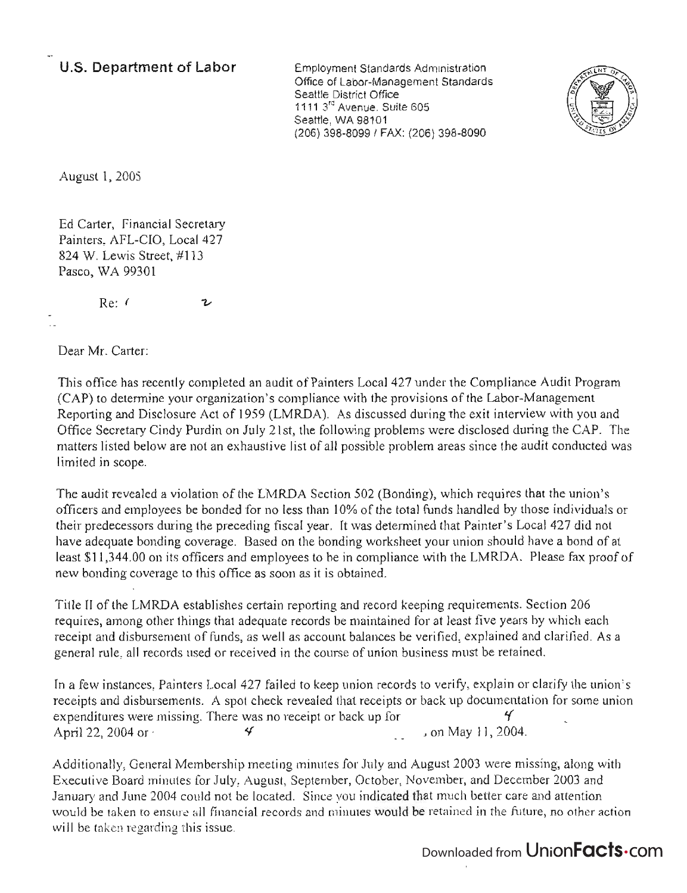## **U.S. Department of Labor**

Employment Standards Administration Office of Labor-Management Standards Seattle District Office  $11113^{12}$  Avenue, Suite 605 Seattle, WA 98101 (206) 398-8099/ FAX: (206) 398-8090



August 1, 2005

Ed Carter, Financial Secretary Painters, AFL-CIO, Local 427 824 W. Lewis Street, #113 Pasco, WA 99301

> Re: ( υ

Dear Mr. Carter:

This office has recently completed an audit of Painters Local 427 under the Compliance Audit Program (CAP) to determine your organization's compliance with the provisions of the Labor-Management Reporting and Disclosure Act of 1959 (LMRDA). As discussed during the exit interview with you and Office Secretary Cindy Purdin on July 21st, the following problems were disclosed during the CAP. The matters listed below are not an exhaustive list of all possible problem areas since the audit conducted was limited in scope.

The audit revealed a violation of the LMRDA Section 502 (Bonding), which requires that the union's officers and employees be bonded for no less than 10% of the total funds handled by those individuals or their predecessors during the preceding fiscal year. It was determined that Painter's Local 427 did not have adequate bonding coverage. Based on the bonding worksheet your union should have a bond of at least \$11,344.00 on its officers and employees to be in compliance with the LMRDA. Please fax proof of new bonding coverage to this office as soon as it is obtained.

Title II of the LMRDA establishes certain reporting and record keeping requirements. Section 206 requires, among other things that adequate records be maintained for at least five years by which each receipt and disbursement of funds, as well as account balances be verified, explained and clarified. As a general rule, all records used or received in the course of union business must be retained.

In a few instances, Painters Local 427 failed to keep union records to verify, explain or clarify the union's receipts and disbursements. A spot check revealed that receipts or back up documeritation for some union expenditures were missing. There was no receipt or back up for  $\frac{4}{1}$ April 22, 2004 or  $\checkmark$   $\checkmark$  on May 11, 2004.

Additionally, General Membership meeting minutes for July and August 2003 were missing, along with Executive Board minutes for July, August, September, October, November, and December 2003 and January and June 2004 could not be located. Since you indicated that much better care and attention would be taken to ensure all financial records and minutes would be retained in the future, no other action will be taken regarding this issue.

## Downloaded from UnionFacts.com